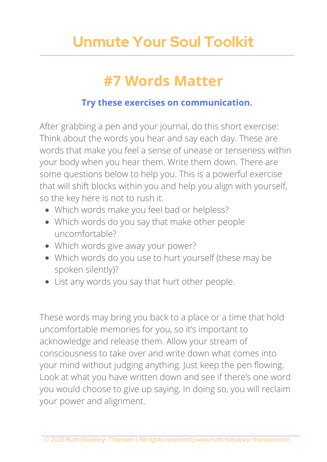## **Unmute Your Soul Toolkit**

### **#7 Words Matter**

#### **Try these exercises on communication.**

After grabbing a pen and your journal, do this short exercise: Think about the words you hear and say each day. These are words that make you feel a sense of unease or tenseness within your body when you hear them. Write them down. There are some questions below to help you. This is a powerful exercise that will shift blocks within you and help you align with yourself, so the key here is not to rush it.

- Which words make you feel bad or helpless?
- Which words do you say that make other people uncomfortable?
- Which words give away your power?
- Which words do you use to hurt yourself (these may be spoken silently)?
- List any words you say that hurt other people.

These words may bring you back to a place or a time that hold uncomfortable memories for you, so it's important to acknowledge and release them. Allow your stream of consciousness to take over and write down what comes into your mind without judging anything. Just keep the pen flowing. Look at what you have written down and see if there's one word you would choose to give up saying. In doing so, you will reclaim your power and alignment.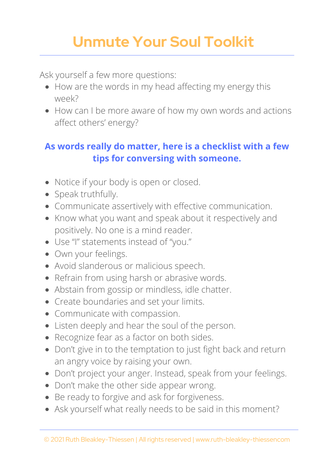# **Unmute Your Soul Toolkit**

Ask yourself a few more questions:

- How are the words in my head affecting my energy this week?
- How can I be more aware of how my own words and actions affect others' energy?

#### **As words really do matter, here is a checklist with a few tips for conversing with someone.**

- Notice if your body is open or closed.
- Speak truthfully.
- Communicate assertively with effective communication.
- Know what you want and speak about it respectively and positively. No one is a mind reader.
- Use "I" statements instead of "you."
- Own your feelings.
- Avoid slanderous or malicious speech.
- Refrain from using harsh or abrasive words.
- Abstain from gossip or mindless, idle chatter.
- Create boundaries and set your limits.
- Communicate with compassion.
- Listen deeply and hear the soul of the person.
- Recognize fear as a factor on both sides.
- Don't give in to the temptation to just fight back and return an angry voice by raising your own.
- Don't project your anger. Instead, speak from your feelings.
- Don't make the other side appear wrong.
- Be ready to forgive and ask for forgiveness.
- Ask yourself what really needs to be said in this moment?